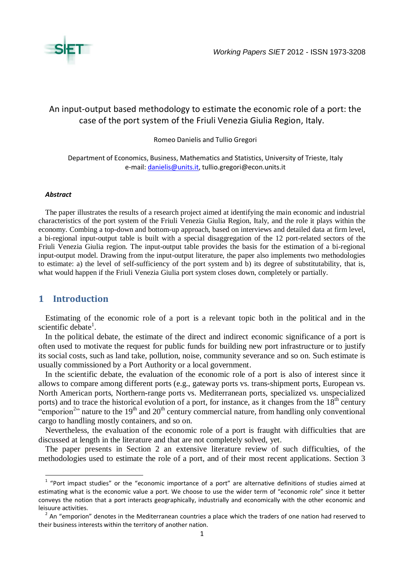

# An input-output based methodology to estimate the economic role of a port: the case of the port system of the Friuli Venezia Giulia Region, Italy.

Romeo Danielis and Tullio Gregori

Department of Economics, Business, Mathematics and Statistics, University of Trieste, Italy e-mail: [danielis@units.it,](mailto:danielis@units.it) tullio.gregori@econ.units.it

#### *Abstract*

The paper illustrates the results of a research project aimed at identifying the main economic and industrial characteristics of the port system of the Friuli Venezia Giulia Region, Italy, and the role it plays within the economy. Combing a top-down and bottom-up approach, based on interviews and detailed data at firm level, a bi-regional input-output table is built with a special disaggregation of the 12 port-related sectors of the Friuli Venezia Giulia region. The input-output table provides the basis for the estimation of a bi-regional input-output model. Drawing from the input-output literature, the paper also implements two methodologies to estimate: a) the level of self-sufficiency of the port system and b) its degree of substitutability, that is, what would happen if the Friuli Venezia Giulia port system closes down, completely or partially.

## **1 Introduction**

**.** 

Estimating of the economic role of a port is a relevant topic both in the political and in the scientific debate<sup>1</sup>.

In the political debate, the estimate of the direct and indirect economic significance of a port is often used to motivate the request for public funds for building new port infrastructure or to justify its social costs, such as land take, pollution, noise, community severance and so on. Such estimate is usually commissioned by a Port Authority or a local government.

In the scientific debate, the evaluation of the economic role of a port is also of interest since it allows to compare among different ports (e.g., gateway ports vs. trans-shipment ports, European vs. North American ports, Northern-range ports vs. Mediterranean ports, specialized vs. unspecialized ports) and to trace the historical evolution of a port, for instance, as it changes from the  $18<sup>th</sup>$  century "emporion<sup>2</sup>" nature to the 19<sup>th</sup> and 20<sup>th</sup> century commercial nature, from handling only conventional cargo to handling mostly containers, and so on.

Nevertheless, the evaluation of the economic role of a port is fraught with difficulties that are discussed at length in the literature and that are not completely solved, yet.

The paper presents in Section 2 an extensive literature review of such difficulties, of the methodologies used to estimate the role of a port, and of their most recent applications. Section 3

 $1$  "Port impact studies" or the "economic importance of a port" are alternative definitions of studies aimed at estimating what is the economic value a port. We choose to use the wider term of "economic role" since it better conveys the notion that a port interacts geographically, industrially and economically with the other economic and leisuure activities.

 $2$  An "emporion" denotes in the Mediterranean countries a place which the traders of one nation had reserved to their business interests within the territory of another nation.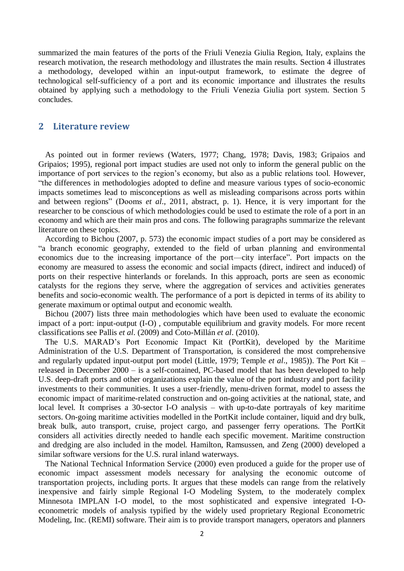summarized the main features of the ports of the Friuli Venezia Giulia Region, Italy, explains the research motivation, the research methodology and illustrates the main results. Section 4 illustrates a methodology, developed within an input-output framework, to estimate the degree of technological self-sufficiency of a port and its economic importance and illustrates the results obtained by applying such a methodology to the Friuli Venezia Giulia port system. Section 5 concludes.

## **2 Literature review**

As pointed out in former reviews (Waters, 1977; Chang, 1978; Davis, 1983; Gripaios and Gripaios; 1995), regional port impact studies are used not only to inform the general public on the importance of port services to the region's economy, but also as a public relations tool. However, "the differences in methodologies adopted to define and measure various types of socio-economic impacts sometimes lead to misconceptions as well as misleading comparisons across ports within and between regions" (Dooms *et al*., 2011, abstract, p. 1). Hence, it is very important for the researcher to be conscious of which methodologies could be used to estimate the role of a port in an economy and which are their main pros and cons. The following paragraphs summarize the relevant literature on these topics.

According to Bichou (2007, p. 573) the economic impact studies of a port may be considered as "a branch economic geography, extended to the field of urban planning and environmental economics due to the increasing importance of the port—city interface". Port impacts on the economy are measured to assess the economic and social impacts (direct, indirect and induced) of ports on their respective hinterlands or forelands. In this approach, ports are seen as economic catalysts for the regions they serve, where the aggregation of services and activities generates benefits and socio-economic wealth. The performance of a port is depicted in terms of its ability to generate maximum or optimal output and economic wealth.

Bichou (2007) lists three main methodologies which have been used to evaluate the economic impact of a port: input-output (I-O) , computable equilibrium and gravity models. For more recent classifications see Pallis *et al*. (2009) and Coto-Millán *et al*. (2010).

The U.S. MARAD's Port Economic Impact Kit (PortKit), developed by the Maritime Administration of the U.S. Department of Transportation, is considered the most comprehensive and regularly updated input-output port model (Little, 1979; Temple *et al*., 1985)). The Port Kit – released in December 2000 – is a self-contained, PC-based model that has been developed to help U.S. deep-draft ports and other organizations explain the value of the port industry and port facility investments to their communities. It uses a user-friendly, menu-driven format, model to assess the economic impact of maritime-related construction and on-going activities at the national, state, and local level. It comprises a 30-sector I-O analysis – with up-to-date portrayals of key maritime sectors. On-going maritime activities modelled in the PortKit include container, liquid and dry bulk, break bulk, auto transport, cruise, project cargo, and passenger ferry operations. The PortKit considers all activities directly needed to handle each specific movement. Maritime construction and dredging are also included in the model. Hamilton, Ramsussen, and Zeng (2000) developed a similar software versions for the U.S. rural inland waterways.

The National Technical Information Service (2000) even produced a guide for the proper use of economic impact assessment models necessary for analysing the economic outcome of transportation projects, including ports. It argues that these models can range from the relatively inexpensive and fairly simple Regional I-O Modeling System, to the moderately complex Minnesota IMPLAN I-O model, to the most sophisticated and expensive integrated I-Oeconometric models of analysis typified by the widely used proprietary Regional Econometric Modeling, Inc. (REMI) software. Their aim is to provide transport managers, operators and planners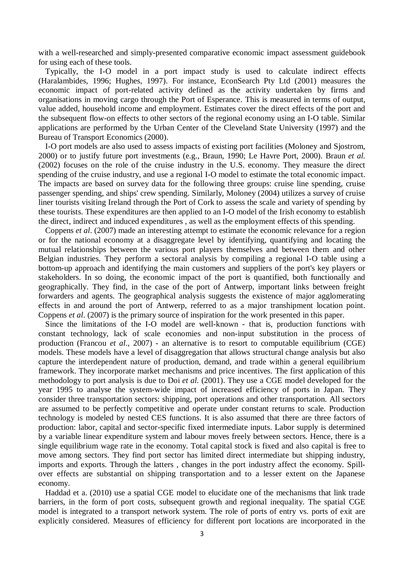with a well-researched and simply-presented comparative economic impact assessment guidebook for using each of these tools.

Typically, the I-O model in a port impact study is used to calculate indirect effects (Haralambides, 1996; Hughes, 1997). For instance, EconSearch Pty Ltd (2001) measures the economic impact of port-related activity defined as the activity undertaken by firms and organisations in moving cargo through the Port of Esperance. This is measured in terms of output, value added, household income and employment. Estimates cover the direct effects of the port and the subsequent flow-on effects to other sectors of the regional economy using an I-O table. Similar applications are performed by the Urban Center of the Cleveland State University (1997) and the Bureau of Transport Economics (2000).

I-O port models are also used to assess impacts of existing port facilities (Moloney and Sjostrom, 2000) or to justify future port investments (e.g., Braun, 1990; Le Havre Port, 2000). Braun *et al.* (2002) focuses on the role of the cruise industry in the U.S. economy. They measure the direct spending of the cruise industry, and use a regional I-O model to estimate the total economic impact. The impacts are based on survey data for the following three groups: cruise line spending, cruise passenger spending, and ships' crew spending. Similarly, Moloney (2004) utilizes a survey of cruise liner tourists visiting Ireland through the Port of Cork to assess the scale and variety of spending by these tourists. These expenditures are then applied to an I-O model of the Irish economy to establish the direct, indirect and induced expenditures , as well as the employment effects of this spending.

Coppens *et al*. (2007) made an interesting attempt to estimate the economic relevance for a region or for the national economy at a disaggregate level by identifying, quantifying and locating the mutual relationships between the various port players themselves and between them and other Belgian industries. They perform a sectoral analysis by compiling a regional I-O table using a bottom-up approach and identifying the main customers and suppliers of the port's key players or stakeholders. In so doing, the economic impact of the port is quantified, both functionally and geographically. They find, in the case of the port of Antwerp, important links between freight forwarders and agents. The geographical analysis suggests the existence of major agglomerating effects in and around the port of Antwerp, referred to as a major transhipment location point. Coppens *et al*. (2007) is the primary source of inspiration for the work presented in this paper.

Since the limitations of the I-O model are well-known - that is, production functions with constant technology, lack of scale economies and non-input substitution in the process of production (Francou *et al*., 2007) - an alternative is to resort to computable equilibrium (CGE) models. These models have a level of disaggregation that allows structural change analysis but also capture the interdependent nature of production, demand, and trade within a general equilibrium framework. They incorporate market mechanisms and price incentives. The first application of this methodology to port analysis is due to Doi *et al.* (2001). They use a CGE model developed for the year 1995 to analyse the system-wide impact of increased efficiency of ports in Japan. They consider three transportation sectors: shipping, port operations and other transportation. All sectors are assumed to be perfectly competitive and operate under constant returns to scale. Production technology is modeled by nested CES functions. It is also assumed that there are three factors of production: labor, capital and sector-specific fixed intermediate inputs. Labor supply is determined by a variable linear expenditure system and labour moves freely between sectors. Hence, there is a single equilibrium wage rate in the economy. Total capital stock is fixed and also capital is free to move among sectors. They find port sector has limited direct intermediate but shipping industry, imports and exports. Through the latters , changes in the port industry affect the economy. Spillover effects are substantial on shipping transportation and to a lesser extent on the Japanese economy.

Haddad et a. (2010) use a spatial CGE model to elucidate one of the mechanisms that link trade barriers, in the form of port costs, subsequent growth and regional inequality. The spatial CGE model is integrated to a transport network system. The role of ports of entry vs. ports of exit are explicitly considered. Measures of efficiency for different port locations are incorporated in the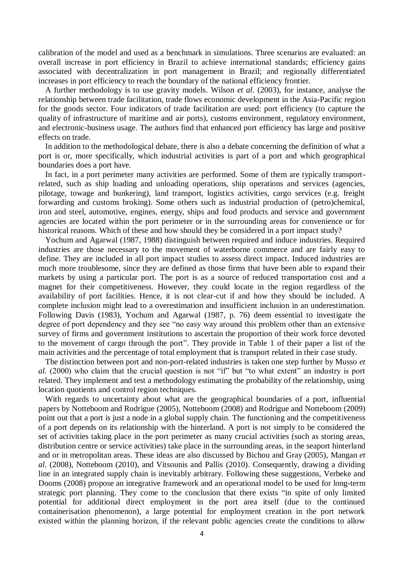calibration of the model and used as a benchmark in simulations. Three scenarios are evaluated: an overall increase in port efficiency in Brazil to achieve international standards; efficiency gains associated with decentralization in port management in Brazil; and regionally differentiated increases in port efficiency to reach the boundary of the national efficiency frontier.

A further methodology is to use gravity models. Wilson *et al*. (2003), for instance, analyse the relationship between trade facilitation, trade flows economic development in the Asia-Pacific region for the goods sector. Four indicators of trade facilitation are used: port efficiency (to capture the quality of infrastructure of maritime and air ports), customs environment, regulatory environment, and electronic-business usage. The authors find that enhanced port efficiency has large and positive effects on trade.

In addition to the methodological debate, there is also a debate concerning the definition of what a port is or, more specifically, which industrial activities is part of a port and which geographical boundaries does a port have.

In fact, in a port perimeter many activities are performed. Some of them are typically transportrelated, such as ship loading and unloading operations, ship operations and services (agencies, pilotage, towage and bunkering), land transport, logistics activities, cargo services (e.g. freight forwarding and customs broking). Some others such as industrial production of (petro)chemical, iron and steel, automotive, engines, energy, ships and food products and service and government agencies are located within the port perimeter or in the surrounding areas for convenience or for historical reasons. Which of these and how should they be considered in a port impact study?

Yochum and Agarwal (1987, 1988) distinguish between required and induce industries. Required industries are those necessary to the movement of waterborne commerce and are fairly easy to define. They are included in all port impact studies to assess direct impact. Induced industries are much more troublesome, since they are defined as those firms that have been able to expand their markets by using a particular port. The port is as a source of reduced transportation cost and a magnet for their competitiveness. However, they could locate in the region regardless of the availability of port facilities. Hence, it is not clear-cut if and how they should be included. A complete inclusion might lead to a overestimation and insufficient inclusion in an underestimation. Following Davis (1983), Yochum and Agarwal (1987, p. 76) deem essential to investigate the degree of port dependency and they see "no easy way around this problem other than an extensive survey of firms and government institutions to ascertain the proportion of their work force devoted to the movement of cargo through the port". They provide in Table 1 of their paper a list of the main activities and the percentage of total employment that is transport related in their case study.

The distinction between port and non-port-related industries is taken one step further by Musso *et al.* (2000) who claim that the crucial question is not "if" but "to what extent" an industry is port related. They implement and test a methodology estimating the probability of the relationship, using location quotients and control region techniques.

With regards to uncertainty about what are the geographical boundaries of a port, influential papers by Notteboom and Rodrigue (2005), Notteboom (2008) and Rodrigue and Notteboom (2009) point out that a port is just a node in a global supply chain. The functioning and the competitiveness of a port depends on its relationship with the hinterland. A port is not simply to be considered the set of activities taking place in the port perimeter as many crucial activities (such as storing areas, distribution centre or service activities) take place in the surrounding areas, in the seaport hinterland and or in metropolitan areas. These ideas are also discussed by Bichou and Gray (2005), Mangan *et al*. (2008), Notteboom (2010), and Vitsounis and Pallis (2010). Consequently, drawing a dividing line in an integrated supply chain is inevitably arbitrary. Following these suggestions, Verbeke and Dooms (2008) propose an integrative framework and an operational model to be used for long-term strategic port planning. They come to the conclusion that there exists "in spite of only limited potential for additional direct employment in the port area itself (due to the continued containerisation phenomenon), a large potential for employment creation in the port network existed within the planning horizon, if the relevant public agencies create the conditions to allow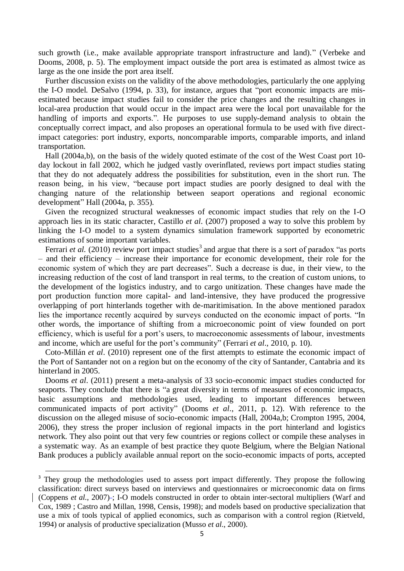such growth (i.e., make available appropriate transport infrastructure and land)." (Verbeke and Dooms, 2008, p. 5). The employment impact outside the port area is estimated as almost twice as large as the one inside the port area itself.

Further discussion exists on the validity of the above methodologies, particularly the one applying the I-O model. DeSalvo (1994, p. 33), for instance, argues that "port economic impacts are misestimated because impact studies fail to consider the price changes and the resulting changes in local-area production that would occur in the impact area were the local port unavailable for the handling of imports and exports.". He purposes to use supply-demand analysis to obtain the conceptually correct impact, and also proposes an operational formula to be used with five directimpact categories: port industry, exports, noncomparable imports, comparable imports, and inland transportation.

Hall (2004a,b), on the basis of the widely quoted estimate of the cost of the West Coast port 10 day lockout in fall 2002, which he judged vastly overinflated, reviews port impact studies stating that they do not adequately address the possibilities for substitution, even in the short run. The reason being, in his view, "because port impact studies are poorly designed to deal with the changing nature of the relationship between seaport operations and regional economic development" Hall (2004a, p. 355).

Given the recognized structural weaknesses of economic impact studies that rely on the I-O approach lies in its static character, Castillo *et al*. (2007) proposed a way to solve this problem by linking the I-O model to a system dynamics simulation framework supported by econometric estimations of some important variables.

Ferrari *et al.* (2010) review port impact studies<sup>3</sup> and argue that there is a sort of paradox "as ports – and their efficiency – increase their importance for economic development, their role for the economic system of which they are part decreases". Such a decrease is due, in their view, to the increasing reduction of the cost of land transport in real terms, to the creation of custom unions, to the development of the logistics industry, and to cargo unitization. These changes have made the port production function more capital- and land-intensive, they have produced the progressive overlapping of port hinterlands together with de-maritimisation. In the above mentioned paradox lies the importance recently acquired by surveys conducted on the economic impact of ports. "In other words, the importance of shifting from a microeconomic point of view founded on port efficiency, which is useful for a port's users, to macroeconomic assessments of labour, investments and income, which are useful for the port's community" (Ferrari *et al*., 2010, p. 10).

Coto-Millán *et al*. (2010) represent one of the first attempts to estimate the economic impact of the Port of Santander not on a region but on the economy of the city of Santander, Cantabria and its hinterland in 2005.

Dooms *et al*. (2011) present a meta-analysis of 33 socio-economic impact studies conducted for seaports. They conclude that there is "a great diversity in terms of measures of economic impacts, basic assumptions and methodologies used, leading to important differences between communicated impacts of port activity" (Dooms *et al*., 2011, p. 12). With reference to the discussion on the alleged misuse of socio-economic impacts (Hall, 2004a,b; Crompton 1995, 2004, 2006), they stress the proper inclusion of regional impacts in the port hinterland and logistics network. They also point out that very few countries or regions collect or compile these analyses in a systematic way. As an example of best practice they quote Belgium, where the Belgian National Bank produces a publicly available annual report on the socio-economic impacts of ports, accepted

**.** 

<sup>&</sup>lt;sup>3</sup> They group the methodologies used to assess port impact differently. They propose the following classification: direct surveys based on interviews and questionnaires or microeconomic data on firms (Coppens *et al.*, 2007) ; I-O models constructed in order to obtain inter-sectoral multipliers (Warf and Cox, 1989 ; Castro and Millan, 1998, Censis, 1998); and models based on productive specialization that use a mix of tools typical of applied economics, such as comparison with a control region (Rietveld, 1994) or analysis of productive specialization (Musso *et al*., 2000).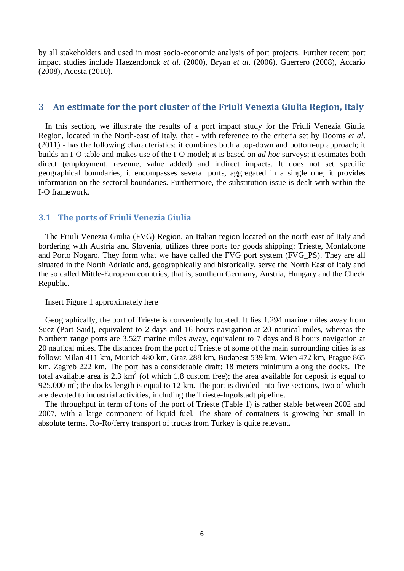by all stakeholders and used in most socio-economic analysis of port projects. Further recent port impact studies include Haezendonck *et al*. (2000), Bryan *et al*. (2006), Guerrero (2008), Accario (2008), Acosta (2010).

### **3 An estimate for the port cluster of the Friuli Venezia Giulia Region, Italy**

In this section, we illustrate the results of a port impact study for the Friuli Venezia Giulia Region, located in the North-east of Italy, that - with reference to the criteria set by Dooms *et al*. (2011) - has the following characteristics: it combines both a top-down and bottom-up approach; it builds an I-O table and makes use of the I-O model; it is based on *ad hoc* surveys; it estimates both direct (employment, revenue, value added) and indirect impacts. It does not set specific geographical boundaries; it encompasses several ports, aggregated in a single one; it provides information on the sectoral boundaries. Furthermore, the substitution issue is dealt with within the I-O framework.

### **3.1 The ports of Friuli Venezia Giulia**

The Friuli Venezia Giulia (FVG) Region, an Italian region located on the north east of Italy and bordering with Austria and Slovenia, utilizes three ports for goods shipping: Trieste, Monfalcone and Porto Nogaro. They form what we have called the FVG port system (FVG\_PS). They are all situated in the North Adriatic and, geographically and historically, serve the North East of Italy and the so called Mittle-European countries, that is, southern Germany, Austria, Hungary and the Check Republic.

### Insert Figure 1 approximately here

Geographically, the port of Trieste is conveniently located. It lies 1.294 marine miles away from Suez (Port Said), equivalent to 2 days and 16 hours navigation at 20 nautical miles, whereas the Northern range ports are 3.527 marine miles away, equivalent to 7 days and 8 hours navigation at 20 nautical miles. The distances from the port of Trieste of some of the main surrounding cities is as follow: Milan 411 km, Munich 480 km, Graz 288 km, Budapest 539 km, Wien 472 km, Prague 865 km, Zagreb 222 km. The port has a considerable draft: 18 meters minimum along the docks. The total available area is 2.3  $\text{km}^2$  (of which 1,8 custom free); the area available for deposit is equal to 925.000  $m^2$ ; the docks length is equal to 12 km. The port is divided into five sections, two of which are devoted to industrial activities, including the Trieste-Ingolstadt pipeline.

The throughput in term of tons of the port of Trieste (Table 1) is rather stable between 2002 and 2007, with a large component of liquid fuel. The share of containers is growing but small in absolute terms. Ro-Ro/ferry transport of trucks from Turkey is quite relevant.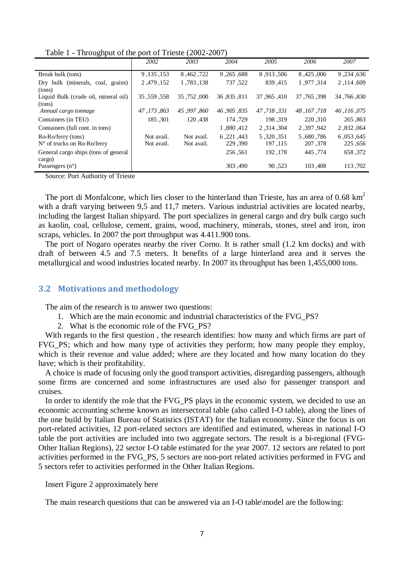| Table 1 - Throughput of the port of Trieste (2002-2007) |  |
|---------------------------------------------------------|--|
|---------------------------------------------------------|--|

|                                                            | 2002                     | 2003                     | 2004                   | 2005                  | 2006                 | 2007                 |
|------------------------------------------------------------|--------------------------|--------------------------|------------------------|-----------------------|----------------------|----------------------|
| Break bulk (tons)                                          | 9, 135, 153              | 8,462,722                | 9, 265, 9.             | 8,913,506             | 8,425,006            | 9,234,636            |
| Dry bulk (minerals, coal, grains)<br>(tons)                | 2,479,152                | 1,783,138                | 737,522                | 839,415               | 1.977.314            | 2, 114, 609          |
| Liquid Bulk (crude oil, mineral oil)<br>(tons)             | 35, 559, 358             | 35,752,000               | 36,835,811             | 37, 965, 410          | 37, 765, 398         | 34, 766, 330         |
| Annual cargo tonnage                                       | 47, 173, 863             | 45,997,860               | 46,905,835             | 47.718.331            | 48, 167, 718         | 46,116,075           |
| Containers (in TEU)                                        | 185, 301                 | 120,438                  | 174,729                | 198,319               | 220,310              | 265,863              |
| Containers (full cont. in tons)                            |                          |                          | 1,880,412              | 2,314,304             | 2,397,942            | 2,832,064            |
| Ro-Ro/ferry (tons)<br>$N^{\circ}$ of trucks on Ro-Ro/ferry | Not avail.<br>Not avail. | Not avail.<br>Not avail. | 6, 221, 443<br>229,390 | 5,320,351<br>197, 115 | 5,680,786<br>207,378 | 6,053,645<br>225,656 |
| General cargo ships (tons of general<br>cargo)             |                          |                          | 256,561                | 192, 178              | 445,774              | 658,372              |
| Passengers $(n^{\circ})$                                   |                          |                          | 303,490                | 90,523                | 103,408              | 113,702              |

Source: Port Authority of Trieste

The port di Monfalcone, which lies closer to the hinterland than Trieste, has an area of  $0.68 \text{ km}^2$ with a draft varying between 9,5 and 11,7 meters. Various industrial activities are located nearby, including the largest Italian shipyard. The port specializes in general cargo and dry bulk cargo such as kaolin, coal, cellulose, cement, grains, wood, machinery, minerals, stones, steel and iron, iron scraps, vehicles. In 2007 the port throughput was 4.411.900 tons.

The port of Nogaro operates nearby the river Corno. It is rather small (1.2 km docks) and with draft of between 4.5 and 7.5 meters. It benefits of a large hinterland area and it serves the metallurgical and wood industries located nearby. In 2007 its throughput has been 1,455,000 tons.

## **3.2 Motivations and methodology**

The aim of the research is to answer two questions:

- 1. Which are the main economic and industrial characteristics of the FVG\_PS?
- 2. What is the economic role of the FVG\_PS?

With regards to the first question , the research identifies: how many and which firms are part of FVG\_PS; which and how many type of activities they perform; how many people they employ, which is their revenue and value added; where are they located and how many location do they have; which is their profitability.

A choice is made of focusing only the good transport activities, disregarding passengers, although some firms are concerned and some infrastructures are used also for passenger transport and cruises.

In order to identify the role that the FVG\_PS plays in the economic system, we decided to use an economic accounting scheme known as intersectoral table (also called I-O table), along the lines of the one build by Italian Bureau of Statistics (ISTAT) for the Italian economy. Since the focus is on port-related activities, 12 port-related sectors are identified and estimated, whereas in national I-O table the port activities are included into two aggregate sectors. The result is a bi-regional (FVG-Other Italian Regions), 22 sector I-O table estimated for the year 2007. 12 sectors are related to port activities performed in the FVG\_PS, 5 sectors are non-port related activities performed in FVG and 5 sectors refer to activities performed in the Other Italian Regions.

Insert Figure 2 approximately here

The main research questions that can be answered via an I-O table\model are the following: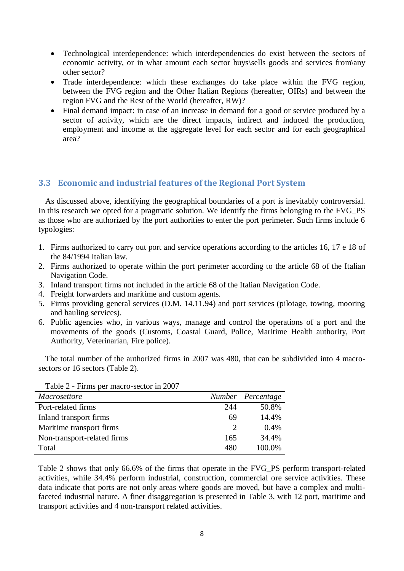- Technological interdependence: which interdependencies do exist between the sectors of economic activity, or in what amount each sector buys\sells goods and services from\any other sector?
- Trade interdependence: which these exchanges do take place within the FVG region, between the FVG region and the Other Italian Regions (hereafter, OIRs) and between the region FVG and the Rest of the World (hereafter, RW)?
- Final demand impact: in case of an increase in demand for a good or service produced by a sector of activity, which are the direct impacts, indirect and induced the production, employment and income at the aggregate level for each sector and for each geographical area?

## **3.3 Economic and industrial features of the Regional Port System**

As discussed above, identifying the geographical boundaries of a port is inevitably controversial. In this research we opted for a pragmatic solution. We identify the firms belonging to the FVG\_PS as those who are authorized by the port authorities to enter the port perimeter. Such firms include 6 typologies:

- 1. Firms authorized to carry out port and service operations according to the articles 16, 17 e 18 of the 84/1994 Italian law.
- 2. Firms authorized to operate within the port perimeter according to the article 68 of the Italian Navigation Code.
- 3. Inland transport firms not included in the article 68 of the Italian Navigation Code.
- 4. Freight forwarders and maritime and custom agents.
- 5. Firms providing general services (D.M. 14.11.94) and port services (pilotage, towing, mooring and hauling services).
- 6. Public agencies who, in various ways, manage and control the operations of a port and the movements of the goods (Customs, Coastal Guard, Police, Maritime Health authority, Port Authority, Veterinarian, Fire police).

The total number of the authorized firms in 2007 was 480, that can be subdivided into 4 macrosectors or 16 sectors (Table 2).

| <i>Macrosettore</i>         |     | Number Percentage |
|-----------------------------|-----|-------------------|
| Port-related firms          | 244 | 50.8%             |
| Inland transport firms      | 69  | 14.4%             |
| Maritime transport firms    | 2   | $0.4\%$           |
| Non-transport-related firms | 165 | 34.4%             |
| Total                       | 480 | 100.0%            |

Table 2 - Firms per macro-sector in 2007

Table 2 shows that only 66.6% of the firms that operate in the FVG\_PS perform transport-related activities, while 34.4% perform industrial, construction, commercial ore service activities. These data indicate that ports are not only areas where goods are moved, but have a complex and multifaceted industrial nature. A finer disaggregation is presented in Table 3, with 12 port, maritime and transport activities and 4 non-transport related activities.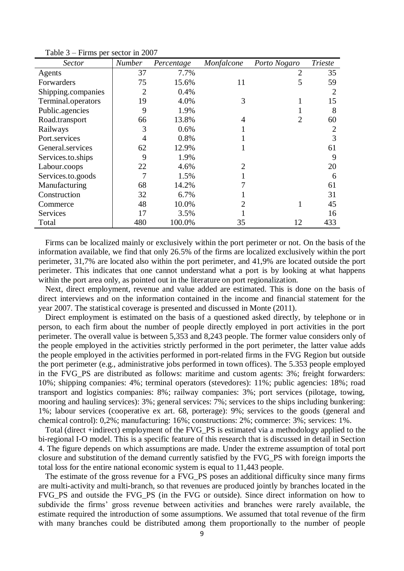| Sector             | <b>Number</b> | Percentage | Monfalcone     | Porto Nogaro   | <b>Trieste</b> |
|--------------------|---------------|------------|----------------|----------------|----------------|
| Agents             | 37            | 7.7%       |                | $\overline{2}$ | 35             |
| Forwarders         | 75            | 15.6%      | 11             | 5              | 59             |
| Shipping.companies | 2             | 0.4%       |                |                | 2              |
| Terminal.operators | 19            | 4.0%       | 3              |                | 15             |
| Public.agencies    | 9             | 1.9%       |                |                | 8              |
| Road.transport     | 66            | 13.8%      | 4              | 2              | 60             |
| Railways           | 3             | 0.6%       |                |                | $\overline{2}$ |
| Port.services      | 4             | 0.8%       |                |                | 3              |
| General services   | 62            | 12.9%      |                |                | 61             |
| Services.to.ships  | 9             | 1.9%       |                |                | 9              |
| Labour.coops       | 22            | 4.6%       | $\mathfrak{D}$ |                | 20             |
| Services.to.goods  |               | 1.5%       |                |                | 6              |
| Manufacturing      | 68            | 14.2%      |                |                | 61             |
| Construction       | 32            | 6.7%       |                |                | 31             |
| Commerce           | 48            | 10.0%      | 2              |                | 45             |
| <b>Services</b>    | 17            | 3.5%       |                |                | 16             |
| Total              | 480           | 100.0%     | 35             | 12             | 433            |

Table 3 – Firms per sector in 2007

Firms can be localized mainly or exclusively within the port perimeter or not. On the basis of the information available, we find that only 26.5% of the firms are localized exclusively within the port perimeter, 31,7% are located also within the port perimeter, and 41,9% are located outside the port perimeter. This indicates that one cannot understand what a port is by looking at what happens within the port area only, as pointed out in the literature on port regionalization.

Next, direct employment, revenue and value added are estimated. This is done on the basis of direct interviews and on the information contained in the income and financial statement for the year 2007. The statistical coverage is presented and discussed in Monte (2011).

Direct employment is estimated on the basis of a questioned asked directly, by telephone or in person, to each firm about the number of people directly employed in port activities in the port perimeter. The overall value is between 5,353 and 8,243 people. The former value considers only of the people employed in the activities strictly performed in the port perimeter, the latter value adds the people employed in the activities performed in port-related firms in the FVG Region but outside the port perimeter (e.g., administrative jobs performed in town offices). The 5.353 people employed in the FVG\_PS are distributed as follows: maritime and custom agents: 3%; freight forwarders: 10%; shipping companies: 4%; terminal operators (stevedores): 11%; public agencies: 18%; road transport and logistics companies: 8%; railway companies: 3%; port services (pilotage, towing, mooring and hauling services): 3%; general services: 7%; services to the ships including bunkering: 1%; labour services (cooperative ex art. 68, porterage): 9%; services to the goods (general and chemical control): 0,2%; manufacturing: 16%; constructions: 2%; commerce: 3%; services: 1%.

Total (direct +indirect) employment of the FVG\_PS is estimated via a methodology applied to the bi-regional I-O model. This is a specific feature of this research that is discussed in detail in Section 4. The figure depends on which assumptions are made. Under the extreme assumption of total port closure and substitution of the demand currently satisfied by the FVG\_PS with foreign imports the total loss for the entire national economic system is equal to 11,443 people.

The estimate of the gross revenue for a FVG\_PS poses an additional difficulty since many firms are multi-activity and multi-branch, so that revenues are produced jointly by branches located in the FVG\_PS and outside the FVG\_PS (in the FVG or outside). Since direct information on how to subdivide the firms' gross revenue between activities and branches were rarely available, the estimate required the introduction of some assumptions. We assumed that total revenue of the firm with many branches could be distributed among them proportionally to the number of people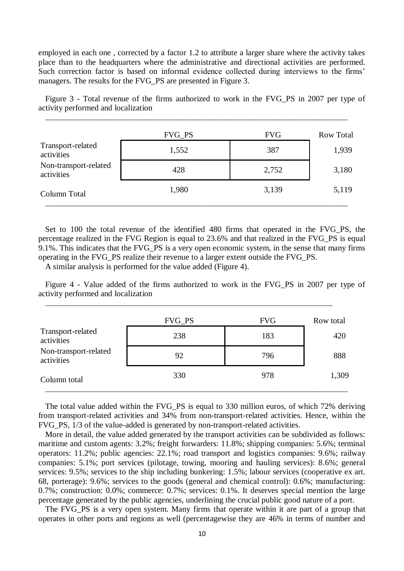employed in each one , corrected by a factor 1.2 to attribute a larger share where the activity takes place than to the headquarters where the administrative and directional activities are performed. Such correction factor is based on informal evidence collected during interviews to the firms' managers. The results for the FVG\_PS are presented in Figure 3.

Figure 3 *-* Total revenue of the firms authorized to work in the FVG\_PS in 2007 per type of activity performed and localization

\_\_\_\_\_\_\_\_\_\_\_\_\_\_\_\_\_\_\_\_\_\_\_\_\_\_\_\_\_\_\_\_\_\_\_\_\_\_\_\_\_\_\_\_\_\_\_\_\_\_\_\_\_\_\_\_\_\_\_\_\_\_\_\_\_\_\_\_\_\_\_\_\_\_\_\_\_\_\_\_\_

|                                     | FVG_PS | <b>FVG</b> | <b>Row Total</b> |
|-------------------------------------|--------|------------|------------------|
| Transport-related<br>activities     | 1,552  | 387        | 1,939            |
| Non-transport-related<br>activities | 428    | 2,752      | 3,180            |
| Column Total                        | 1,980  | 3,139      | 5,119            |

Set to 100 the total revenue of the identified 480 firms that operated in the FVG\_PS, the percentage realized in the FVG Region is equal to 23.6% and that realized in the FVG\_PS is equal 9.1%. This indicates that the FVG\_PS is a very open economic system, in the sense that many firms operating in the FVG\_PS realize their revenue to a larger extent outside the FVG\_PS.

A similar analysis is performed for the value added (Figure 4).

Figure 4 - Value added of the firms authorized to work in the FVG\_PS in 2007 per type of activity performed and localization

|                                     | <b>FVG_PS</b> | <b>FVG</b> | Row total |
|-------------------------------------|---------------|------------|-----------|
| Transport-related<br>activities     | 238           | 183        | 420       |
| Non-transport-related<br>activities | 92            | 796        | 888       |
| Column total                        | 330           | 978        | 1,309     |

\_\_\_\_\_\_\_\_\_\_\_\_\_\_\_\_\_\_\_\_\_\_\_\_\_\_\_\_\_\_\_\_\_\_\_\_\_\_\_\_\_\_\_\_\_\_\_\_\_\_\_\_\_\_\_\_\_\_\_\_\_\_\_\_\_\_\_\_\_\_\_\_\_\_\_\_\_

The total value added within the FVG\_PS is equal to 330 million euros, of which 72% deriving from transport-related activities and 34% from non-transport-related activities. Hence, within the FVG\_PS, 1/3 of the value-added is generated by non-transport-related activities.

More in detail, the value added generated by the transport activities can be subdivided as follows: maritime and custom agents: 3.2%; freight forwarders: 11.8%; shipping companies: 5.6%; terminal operators: 11.2%; public agencies: 22.1%; road transport and logistics companies: 9.6%; railway companies: 5.1%; port services (pilotage, towing, mooring and hauling services): 8.6%; general services: 9.5%; services to the ship including bunkering: 1.5%; labour services (cooperative ex art. 68, porterage): 9.6%; services to the goods (general and chemical control): 0.6%; manufacturing: 0.7%; construction: 0.0%; commerce: 0.7%; services: 0.1%. It deserves special mention the large percentage generated by the public agencies, underlining the crucial public good nature of a port.

The FVG PS is a very open system. Many firms that operate within it are part of a group that operates in other ports and regions as well (percentagewise they are 46% in terms of number and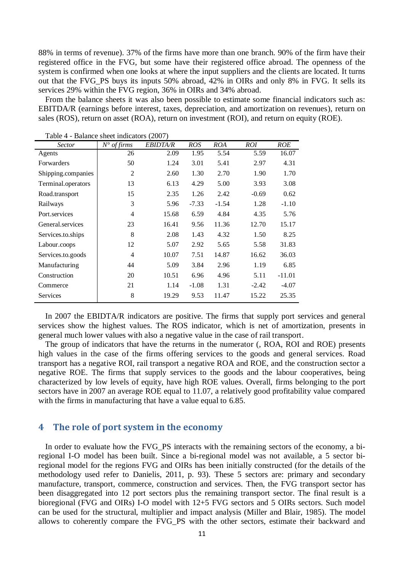88% in terms of revenue). 37% of the firms have more than one branch. 90% of the firm have their registered office in the FVG, but some have their registered office abroad. The openness of the system is confirmed when one looks at where the input suppliers and the clients are located. It turns out that the FVG\_PS buys its inputs 50% abroad, 42% in OIRs and only 8% in FVG. It sells its services 29% within the FVG region, 36% in OIRs and 34% abroad.

From the balance sheets it was also been possible to estimate some financial indicators such as: EBITDA/R (earnings before interest, taxes, depreciation, and amortization on revenues), return on sales (ROS), return on asset (ROA), return on investment (ROI), and return on equity (ROE).

| <i>Sector</i>      | $N^{\circ}$ of firms | <b>EBIDTA/R</b> | <b>ROS</b> | <b>ROA</b> | ROI     | <b>ROE</b> |
|--------------------|----------------------|-----------------|------------|------------|---------|------------|
| Agents             | 26                   | 2.09            | 1.95       | 5.54       | 5.59    | 16.07      |
| Forwarders         | 50                   | 1.24            | 3.01       | 5.41       | 2.97    | 4.31       |
| Shipping.companies | $\overline{2}$       | 2.60            | 1.30       | 2.70       | 1.90    | 1.70       |
| Terminal.operators | 13                   | 6.13            | 4.29       | 5.00       | 3.93    | 3.08       |
| Road.transport     | 15                   | 2.35            | 1.26       | 2.42       | $-0.69$ | 0.62       |
| Railways           | 3                    | 5.96            | $-7.33$    | $-1.54$    | 1.28    | $-1.10$    |
| Port.services      | 4                    | 15.68           | 6.59       | 4.84       | 4.35    | 5.76       |
| General.services   | 23                   | 16.41           | 9.56       | 11.36      | 12.70   | 15.17      |
| Services.to.ships  | 8                    | 2.08            | 1.43       | 4.32       | 1.50    | 8.25       |
| Labour.coops       | 12                   | 5.07            | 2.92       | 5.65       | 5.58    | 31.83      |
| Services.to.goods  | 4                    | 10.07           | 7.51       | 14.87      | 16.62   | 36.03      |
| Manufacturing      | 44                   | 5.09            | 3.84       | 2.96       | 1.19    | 6.85       |
| Construction       | 20                   | 10.51           | 6.96       | 4.96       | 5.11    | $-11.01$   |
| Commerce           | 21                   | 1.14            | $-1.08$    | 1.31       | $-2.42$ | $-4.07$    |
| Services           | 8                    | 19.29           | 9.53       | 11.47      | 15.22   | 25.35      |

Table 4 - Balance sheet indicators (2007)

In 2007 the EBIDTA/R indicators are positive. The firms that supply port services and general services show the highest values. The ROS indicator, which is net of amortization, presents in general much lower values with also a negative value in the case of rail transport.

The group of indicators that have the returns in the numerator (, ROA, ROI and ROE) presents high values in the case of the firms offering services to the goods and general services. Road transport has a negative ROI, rail transport a negative ROA and ROE, and the construction sector a negative ROE. The firms that supply services to the goods and the labour cooperatives, being characterized by low levels of equity, have high ROE values. Overall, firms belonging to the port sectors have in 2007 an average ROE equal to 11.07, a relatively good profitability value compared with the firms in manufacturing that have a value equal to 6.85.

## **4 The role of port system in the economy**

In order to evaluate how the FVG\_PS interacts with the remaining sectors of the economy, a biregional I-O model has been built. Since a bi-regional model was not available, a 5 sector biregional model for the regions FVG and OIRs has been initially constructed (for the details of the methodology used refer to Danielis, 2011, p. 93). These 5 sectors are: primary and secondary manufacture, transport, commerce, construction and services. Then, the FVG transport sector has been disaggregated into 12 port sectors plus the remaining transport sector. The final result is a bioregional (FVG and OIRs) I-O model with 12+5 FVG sectors and 5 OIRs sectors. Such model can be used for the structural, multiplier and impact analysis (Miller and Blair, 1985). The model allows to coherently compare the FVG\_PS with the other sectors, estimate their backward and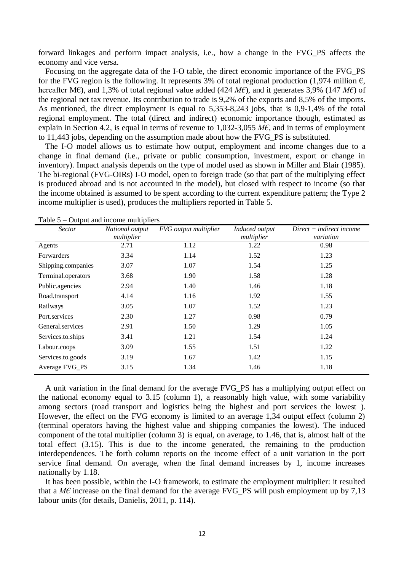forward linkages and perform impact analysis, i.e., how a change in the FVG\_PS affects the economy and vice versa.

Focusing on the aggregate data of the I-O table, the direct economic importance of the FVG\_PS for the FVG region is the following. It represents 3% of total regional production (1,974 million  $\epsilon$ , hereafter M€), and 1,3% of total regional value added (424 *M€*), and it generates 3,9% (147 *M€*) of the regional net tax revenue. Its contribution to trade is 9,2% of the exports and 8,5% of the imports. As mentioned, the direct employment is equal to 5,353-8,243 jobs, that is 0,9-1,4% of the total regional employment. The total (direct and indirect) economic importance though, estimated as explain in Section 4.2, is equal in terms of revenue to 1,032-3,055 *M€*, and in terms of employment to 11,443 jobs, depending on the assumption made about how the FVG\_PS is substituted.

The I-O model allows us to estimate how output, employment and income changes due to a change in final demand (i.e., private or public consumption, investment, export or change in inventory). Impact analysis depends on the type of model used as shown in Miller and Blair (1985). The bi-regional (FVG-OIRs) I-O model, open to foreign trade (so that part of the multiplying effect is produced abroad and is not accounted in the model), but closed with respect to income (so that the income obtained is assumed to be spent according to the current expenditure pattern; the Type 2 income multiplier is used), produces the multipliers reported in Table 5.

|                    | $\sim$ apparent integration interference of $\sim$ |                       |                              |                                  |  |  |  |  |  |
|--------------------|----------------------------------------------------|-----------------------|------------------------------|----------------------------------|--|--|--|--|--|
| <b>Sector</b>      | National output<br>multiplier                      | FVG output multiplier | Induced output<br>multiplier | $Direct + indirect$<br>variation |  |  |  |  |  |
| Agents             | 2.71                                               | 1.12                  | 1.22                         | 0.98                             |  |  |  |  |  |
| Forwarders         | 3.34                                               | 1.14                  | 1.52                         | 1.23                             |  |  |  |  |  |
| Shipping.companies | 3.07                                               | 1.07                  | 1.54                         | 1.25                             |  |  |  |  |  |
| Terminal.operators | 3.68                                               | 1.90                  | 1.58                         | 1.28                             |  |  |  |  |  |
| Public.agencies    | 2.94                                               | 1.40                  | 1.46                         | 1.18                             |  |  |  |  |  |
| Road.transport     | 4.14                                               | 1.16                  | 1.92                         | 1.55                             |  |  |  |  |  |
| Railways           | 3.05                                               | 1.07                  | 1.52                         | 1.23                             |  |  |  |  |  |
| Port.services      | 2.30                                               | 1.27                  | 0.98                         | 0.79                             |  |  |  |  |  |
| General services   | 2.91                                               | 1.50                  | 1.29                         | 1.05                             |  |  |  |  |  |
| Services.to.ships  | 3.41                                               | 1.21                  | 1.54                         | 1.24                             |  |  |  |  |  |
| Labour.coops       | 3.09                                               | 1.55                  | 1.51                         | 1.22                             |  |  |  |  |  |
| Services.to.goods  | 3.19                                               | 1.67                  | 1.42                         | 1.15                             |  |  |  |  |  |
| Average FVG_PS     | 3.15                                               | 1.34                  | 1.46                         | 1.18                             |  |  |  |  |  |

Table  $5 -$  Output and income multipliers

A unit variation in the final demand for the average FVG\_PS has a multiplying output effect on the national economy equal to 3.15 (column 1), a reasonably high value, with some variability among sectors (road transport and logistics being the highest and port services the lowest ). However, the effect on the FVG economy is limited to an average 1,34 output effect (column 2) (terminal operators having the highest value and shipping companies the lowest). The induced component of the total multiplier (column 3) is equal, on average, to 1.46, that is, almost half of the total effect (3.15). This is due to the income generated, the remaining to the production interdependences. The forth column reports on the income effect of a unit variation in the port service final demand. On average, when the final demand increases by 1, income increases nationally by 1.18.

It has been possible, within the I-O framework, to estimate the employment multiplier: it resulted that a  $M\epsilon$  increase on the final demand for the average FVG\_PS will push employment up by 7,13 labour units (for details, Danielis, 2011, p. 114).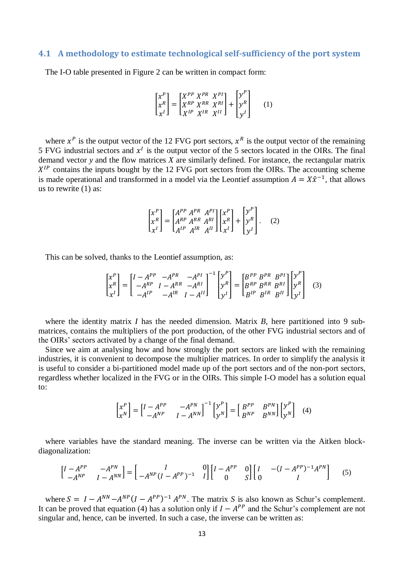### **4.1 A methodology to estimate technological self-sufficiency of the port system**

The I-O table presented in Figure 2 can be written in compact form:

$$
\begin{bmatrix} x^P \\ x^R \\ x^I \end{bmatrix} = \begin{bmatrix} X^{PP} & X^{PR} & X^{PI} \\ X^{RP} & X^{RR} & X^{RI} \\ X^{IP} & X^{IR} & X^{II} \end{bmatrix} + \begin{bmatrix} y^P \\ y^P \\ y^I \end{bmatrix} \tag{1}
$$

where  $x^P$  is the output vector of the 12 FVG port sectors,  $x^R$  is the output vector of the remaining 5 FVG industrial sectors and  $x<sup>1</sup>$  is the output vector of the 5 sectors located in the OIRs. The final demand vector *y* and the flow matrices *X* are similarly defined. For instance, the rectangular matrix  $X^{IP}$  contains the inputs bought by the 12 FVG port sectors from the OIRs. The accounting scheme is made operational and transformed in a model via the Leontief assumption  $A = X\hat{x}^{-1}$ , that allows us to rewrite (1) as:

$$
\begin{bmatrix} x^P \\ x^R \\ x^I \end{bmatrix} = \begin{bmatrix} A^{PP} & A^{PR} & A^{PI} \\ A^{RP} & A^{RR} & A^{RI} \\ A^{IP} & A^{IR} & A^{II} \end{bmatrix} \begin{bmatrix} x^P \\ x^R \\ x^I \end{bmatrix} + \begin{bmatrix} y^P \\ y^P \\ y^I \end{bmatrix} . \tag{2}
$$

This can be solved, thanks to the Leontief assumption, as:

$$
\begin{bmatrix} x^P \\ x^R \\ x^I \end{bmatrix} = \begin{bmatrix} I - A^{PP} & -A^{PR} & -A^{PI} \\ -A^{RP} & I - A^{RR} & -A^{RI} \\ -A^{IP} & -A^{IR} & I - A^{II} \end{bmatrix}^{-1} \begin{bmatrix} y^P \\ y^R \\ y^I \end{bmatrix} = \begin{bmatrix} B^{PP} & B^{PR} & B^{PI} \\ B^{RP} & B^{RR} & B^{RI} \\ B^{IP} & B^{IR} & B^{II} \end{bmatrix} \begin{bmatrix} y^P \\ y^R \\ y^I \end{bmatrix} \tag{3}
$$

where the identity matrix *I* has the needed dimension. Matrix *B*, here partitioned into 9 submatrices, contains the multipliers of the port production, of the other FVG industrial sectors and of the OIRs' sectors activated by a change of the final demand.

Since we aim at analysing how and how strongly the port sectors are linked with the remaining industries, it is convenient to decompose the multiplier matrices. In order to simplify the analysis it is useful to consider a bi-partitioned model made up of the port sectors and of the non-port sectors, regardless whether localized in the FVG or in the OIRs. This simple I-O model has a solution equal to:

$$
\begin{bmatrix} x^P \\ x^N \end{bmatrix} = \begin{bmatrix} I - A^{PP} & -A^{PN} \\ -A^{NP} & I - A^{NN} \end{bmatrix}^{-1} \begin{bmatrix} y^P \\ y^N \end{bmatrix} = \begin{bmatrix} B^{PP} & B^{PN} \\ B^{NP} & B^{NN} \end{bmatrix} \begin{bmatrix} y^P \\ y^N \end{bmatrix}
$$
(4)

where variables have the standard meaning. The inverse can be written via the Aitken blockdiagonalization:

$$
\begin{bmatrix} I - A^{PP} & -A^{PN} \\ -A^{NP} & I - A^{NN} \end{bmatrix} = \begin{bmatrix} I & 0 \\ -A^{NP} (I - A^{PP})^{-1} & I \end{bmatrix} \begin{bmatrix} I - A^{PP} & 0 \\ 0 & S \end{bmatrix} \begin{bmatrix} I & -(I - A^{PP})^{-1} A^{PN} \\ 0 & I \end{bmatrix}
$$
(5)

where  $S = I - A^{NN} - A^{NP} (I - A^{PP})^{-1} A^{PN}$ . The matrix *S* is also known as Schur's complement. It can be proved that equation (4) has a solution only if  $I - A^{PP}$  and the Schur's complement are not singular and, hence, can be inverted. In such a case, the inverse can be written as: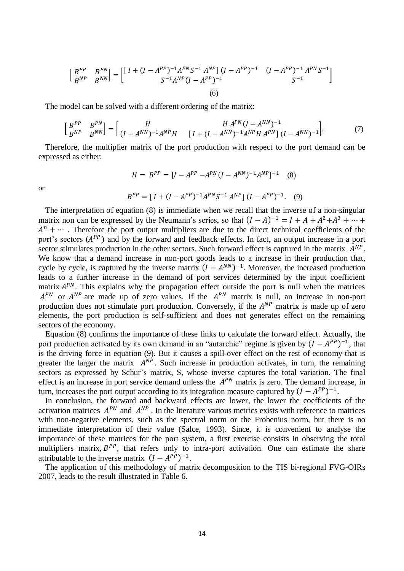$$
\begin{bmatrix} B^{PP} & B^{PN} \\ B^{NP} & B^{NN} \end{bmatrix} = \begin{bmatrix} \begin{bmatrix} I + (I - A^{PP})^{-1} A^{PN} S^{-1} A^{NP} \end{bmatrix} (I - A^{PP})^{-1} & (I - A^{PP})^{-1} A^{PN} S^{-1} \\ S^{-1} A^{NP} (I - A^{PP})^{-1} & S^{-1} \end{bmatrix} \tag{6}
$$

The model can be solved with a different ordering of the matrix:

$$
\begin{bmatrix} B^{PP} & B^{PN} \\ B^{NP} & B^{NN} \end{bmatrix} = \begin{bmatrix} H & H A^{PN} (I - A^{NN})^{-1} \\ (I - A^{NN})^{-1} A^{NP} H & [I + (I - A^{NN})^{-1} A^{NP} H A^{PN} ] & (I - A^{NN})^{-1} \end{bmatrix} . \tag{7}
$$

Therefore, the multiplier matrix of the port production with respect to the port demand can be expressed as either:

$$
H = B^{PP} = [I - A^{PP} - A^{PN}(I - A^{NN})^{-1}A^{NP}]^{-1}
$$
 (8)

or

$$
B^{PP} = [I + (I - A^{PP})^{-1} A^{PN} S^{-1} A^{NP}] (I - A^{PP})^{-1}.
$$
 (9)

The interpretation of equation (8) is immediate when we recall that the inverse of a non-singular matrix non can be expressed by the Neumann's series, so that  $(I - A)^{-1} = I + A + A^2 + A^3$  $A^n + \cdots$ . Therefore the port output multipliers are due to the direct technical coefficients of the port's sectors  $(A^{PP})$  and by the forward and feedback effects. In fact, an output increase in a port sector stimulates production in the other sectors. Such forward effect is captured in the matrix  $A^{NP}$ . We know that a demand increase in non-port goods leads to a increase in their production that, cycle by cycle, is captured by the inverse matrix  $(I - A^{NN})^{-1}$ . Moreover, the increased production leads to a further increase in the demand of port services determined by the input coefficient matrix  $A^{PN}$ . This explains why the propagation effect outside the port is null when the matrices  $A^{PN}$  or  $A^{NP}$  are made up of zero values. If the  $A^{PN}$  matrix is null, an increase in non-port production does not stimulate port production. Conversely, if the  $A^{NP}$  matrix is made up of zero elements, the port production is self-sufficient and does not generates effect on the remaining sectors of the economy.

Equation (8) confirms the importance of these links to calculate the forward effect. Actually, the port production activated by its own demand in an "autarchic" regime is given by  $(I - A^{PP})^{-1}$ , that is the driving force in equation (9). But it causes a spill-over effect on the rest of economy that is greater the larger the matrix  $A^{NP}$ . Such increase in production activates, in turn, the remaining sectors as expressed by Schur's matrix, S, whose inverse captures the total variation. The final effect is an increase in port service demand unless the  $A^{PN}$  matrix is zero. The demand increase, in turn, increases the port output according to its integration measure captured by  $(I - A^{PP})^{-1}$ .

In conclusion, the forward and backward effects are lower, the lower the coefficients of the activation matrices  $A^{PN}$  and  $A^{NP}$ . In the literature various metrics exists with reference to matrices with non-negative elements, such as the spectral norm or the Frobenius norm, but there is no immediate interpretation of their value (Salce, 1993). Since, it is convenient to analyse the importance of these matrices for the port system, a first exercise consists in observing the total multipliers matrix,  $B^{PP}$ , that refers only to intra-port activation. One can estimate the share attributable to the inverse matrix  $(I - A^{PP})^{-1}$ .

The application of this methodology of matrix decomposition to the TIS bi-regional FVG-OIRs 2007, leads to the result illustrated in Table 6.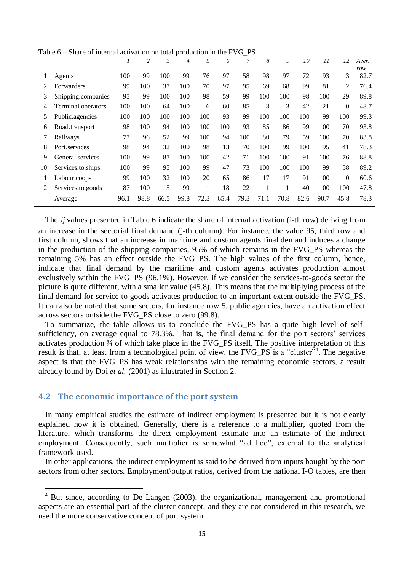|    |                    |      | 2    | $\mathfrak{Z}$ | 4    | 5    | 6    | 7    | 8    | 9    | 10   | 11   | 12           | Aver. |
|----|--------------------|------|------|----------------|------|------|------|------|------|------|------|------|--------------|-------|
|    |                    |      |      |                |      |      |      |      |      |      |      |      |              | row   |
| 1  | Agents             | 100  | 99   | 100            | 99   | 76   | 97   | 58   | 98   | 97   | 72   | 93   | 3            | 82.7  |
| 2  | Forwarders         | 99   | 100  | 37             | 100  | 70   | 97   | 95   | 69   | 68   | 99   | 81   | 2            | 76.4  |
| 3  | Shipping.companies | 95   | 99   | 100            | 100  | 98   | 59   | 99   | 100  | 100  | 98   | 100  | 29           | 89.8  |
| 4  | Terminal.operators | 100  | 100  | 64             | 100  | 6    | 60   | 85   | 3    | 3    | 42   | 21   | $\mathbf{0}$ | 48.7  |
| 5  | Public.agencies    | 100  | 100  | 100            | 100  | 100  | 93   | 99   | 100  | 100  | 100  | 99   | 100          | 99.3  |
| 6  | Road.transport     | 98   | 100  | 94             | 100  | 100  | 100  | 93   | 85   | 86   | 99   | 100  | 70           | 93.8  |
| 7  | Railways           | 77   | 96   | 52             | 99   | 100  | 94   | 100  | 80   | 79   | 59   | 100  | 70           | 83.8  |
| 8  | Port.services      | 98   | 94   | 32             | 100  | 98   | 13   | 70   | 100  | 99   | 100  | 95   | 41           | 78.3  |
| 9  | General.services   | 100  | 99   | 87             | 100  | 100  | 42   | 71   | 100  | 100  | 91   | 100  | 76           | 88.8  |
| 10 | Services.to.ships  | 100  | 99   | 95             | 100  | 99   | 47   | 73   | 100  | 100  | 100  | 99   | 58           | 89.2  |
| 11 | Labour.coops       | 99   | 100  | 32             | 100  | 20   | 65   | 86   | 17   | 17   | 91   | 100  | $\Omega$     | 60.6  |
| 12 | Services.to.goods  | 87   | 100  | 5              | 99   |      | 18   | 22   |      |      | 40   | 100  | 100          | 47.8  |
|    | Average            | 96.1 | 98.8 | 66.5           | 99.8 | 72.3 | 65.4 | 79.3 | 71.1 | 70.8 | 82.6 | 90.7 | 45.8         | 78.3  |

Table 6 – Share of internal activation on total production in the FVG\_PS

The *ij* values presented in Table 6 indicate the share of internal activation (i-th row) deriving from an increase in the sectorial final demand (j-th column). For instance, the value 95, third row and first column, shows that an increase in maritime and custom agents final demand induces a change in the production of the shipping companies, 95% of which remains in the FVG\_PS whereas the remaining 5% has an effect outside the FVG\_PS. The high values of the first column, hence, indicate that final demand by the maritime and custom agents activates production almost exclusively within the FVG\_PS (96.1%). However, if we consider the services-to-goods sector the picture is quite different, with a smaller value (45.8). This means that the multiplying process of the final demand for service to goods activates production to an important extent outside the FVG\_PS. It can also be noted that some sectors, for instance row 5, public agencies, have an activation effect across sectors outside the FVG\_PS close to zero (99.8).

To summarize, the table allows us to conclude the FVG\_PS has a quite high level of selfsufficiency, on average equal to 78.3%. That is, the final demand for the port sectors' services activates production ¾ of which take place in the FVG\_PS itself. The positive interpretation of this result is that, at least from a technological point of view, the FVG\_PS is a "cluster"<sup>4</sup>. The negative aspect is that the FVG PS has weak relationships with the remaining economic sectors, a result already found by Doi *et al.* (2001) as illustrated in Section 2.

### **4.2 The economic importance of the port system**

**.** 

In many empirical studies the estimate of indirect employment is presented but it is not clearly explained how it is obtained. Generally, there is a reference to a multiplier, quoted from the literature, which transforms the direct employment estimate into an estimate of the indirect employment. Consequently, such multiplier is somewhat "ad hoc", external to the analytical framework used.

In other applications, the indirect employment is said to be derived from inputs bought by the port sectors from other sectors. Employment\output ratios, derived from the national I-O tables, are then

<sup>4</sup> But since, according to De Langen (2003), the organizational, management and promotional aspects are an essential part of the cluster concept, and they are not considered in this research, we used the more conservative concept of port system.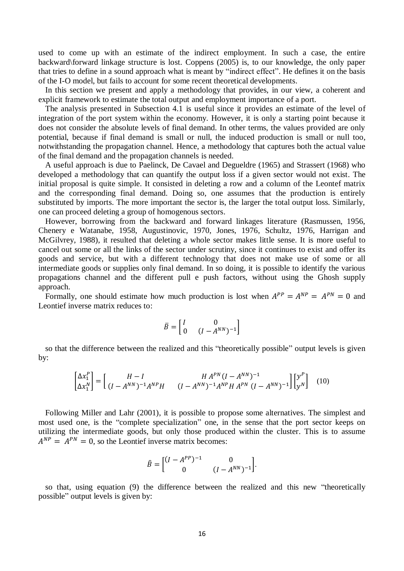used to come up with an estimate of the indirect employment. In such a case, the entire backward\forward linkage structure is lost. Coppens (2005) is, to our knowledge, the only paper that tries to define in a sound approach what is meant by "indirect effect". He defines it on the basis of the I-O model, but fails to account for some recent theoretical developments.

In this section we present and apply a methodology that provides, in our view, a coherent and explicit framework to estimate the total output and employment importance of a port.

The analysis presented in Subsection 4.1 is useful since it provides an estimate of the level of integration of the port system within the economy. However, it is only a starting point because it does not consider the absolute levels of final demand. In other terms, the values provided are only potential, because if final demand is small or null, the induced production is small or null too, notwithstanding the propagation channel. Hence, a methodology that captures both the actual value of the final demand and the propagation channels is needed.

A useful approach is due to Paelinck, De Cavael and Degueldre (1965) and Strassert (1968) who developed a methodology that can quantify the output loss if a given sector would not exist. The initial proposal is quite simple. It consisted in deleting a row and a column of the Leontef matrix and the corresponding final demand. Doing so, one assumes that the production is entirely substituted by imports. The more important the sector is, the larger the total output loss. Similarly, one can proceed deleting a group of homogenous sectors.

However, borrowing from the backward and forward linkages literature (Rasmussen, 1956, Chenery e Watanabe, 1958, Augustinovic, 1970, Jones, 1976, Schultz, 1976, Harrigan and McGilvrey, 1988), it resulted that deleting a whole sector makes little sense. It is more useful to cancel out some or all the links of the sector under scrutiny, since it continues to exist and offer its goods and service, but with a different technology that does not make use of some or all intermediate goods or supplies only final demand. In so doing, it is possible to identify the various propagations channel and the different pull e push factors, without using the Ghosh supply approach.

Formally, one should estimate how much production is lost when  $A^{PP} = A^{NP} = A^{PN} = 0$  and Leontief inverse matrix reduces to:

$$
\bar{B} = \begin{bmatrix} I & 0 \\ 0 & (I - A^{NN})^{-1} \end{bmatrix}
$$

so that the difference between the realized and this "theoretically possible" output levels is given by:

$$
\begin{bmatrix} \Delta x_1^P \\ \Delta x_1^N \end{bmatrix} = \begin{bmatrix} H - I & H A^{PN} (I - A^{NN})^{-1} \\ (I - A^{NN})^{-1} A^{NP} H & (I - A^{NN})^{-1} A^{NP} H A^{PN} (I - A^{NN})^{-1} \end{bmatrix} \begin{bmatrix} y^P \\ y^N \end{bmatrix}
$$
(10)

Following Miller and Lahr (2001), it is possible to propose some alternatives. The simplest and most used one, is the "complete specialization" one, in the sense that the port sector keeps on utilizing the intermediate goods, but only those produced within the cluster. This is to assume  $A^{NP} = A^{PN} = 0$ , so the Leontief inverse matrix becomes:

$$
\hat{B} = \begin{bmatrix} (I - A^{PP})^{-1} & 0 \\ 0 & (I - A^{NN})^{-1} \end{bmatrix}.
$$

so that, using equation (9) the difference between the realized and this new "theoretically possible" output levels is given by: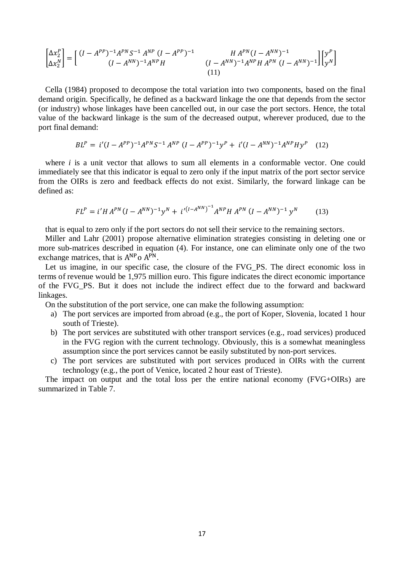$$
\begin{bmatrix} \Delta x_2^P \\ \Delta x_2^N \end{bmatrix} = \begin{bmatrix} (I - A^{PP})^{-1} A^{PN} S^{-1} A^{NP} (I - A^{PP})^{-1} & H A^{PN} (I - A^{NN})^{-1} \\ (I - A^{NN})^{-1} A^{NP} H & (I - A^{NN})^{-1} A^{NP} H A^{PN} (I - A^{NN})^{-1} \end{bmatrix} \begin{bmatrix} y^P \\ y^N \end{bmatrix}
$$
\n(11)

Cella (1984) proposed to decompose the total variation into two components, based on the final demand origin. Specifically, he defined as a backward linkage the one that depends from the sector (or industry) whose linkages have been cancelled out, in our case the port sectors. Hence, the total value of the backward linkage is the sum of the decreased output, wherever produced, due to the port final demand:

$$
BL^{P} = i'(I - A^{PP})^{-1}A^{PN}S^{-1}A^{NP}(I - A^{PP})^{-1}y^{P} + i'(I - A^{NN})^{-1}A^{NP}Hy^{P}
$$
 (12)

where *i* is a unit vector that allows to sum all elements in a conformable vector. One could immediately see that this indicator is equal to zero only if the input matrix of the port sector service from the OIRs is zero and feedback effects do not exist. Similarly, the forward linkage can be defined as:

$$
FL^{P} = i'H A^{PN}(I - A^{NN})^{-1}y^{N} + i'^{(I - A^{NN})^{-1}}A^{NP}H A^{PN}(I - A^{NN})^{-1}y^{N}
$$
 (13)

that is equal to zero only if the port sectors do not sell their service to the remaining sectors.

Miller and Lahr (2001) propose alternative elimination strategies consisting in deleting one or more sub-matrices described in equation (4). For instance, one can eliminate only one of the two exchange matrices, that is  $A^{NP}$  o  $A^P$ 

Let us imagine, in our specific case, the closure of the FVG\_PS. The direct economic loss in terms of revenue would be 1,975 million euro. This figure indicates the direct economic importance of the FVG\_PS. But it does not include the indirect effect due to the forward and backward linkages.

On the substitution of the port service, one can make the following assumption:

- a) The port services are imported from abroad (e.g., the port of Koper, Slovenia, located 1 hour south of Trieste).
- b) The port services are substituted with other transport services (e.g., road services) produced in the FVG region with the current technology. Obviously, this is a somewhat meaningless assumption since the port services cannot be easily substituted by non-port services.
- c) The port services are substituted with port services produced in OIRs with the current technology (e.g., the port of Venice, located 2 hour east of Trieste).

The impact on output and the total loss per the entire national economy (FVG+OIRs) are summarized in Table 7.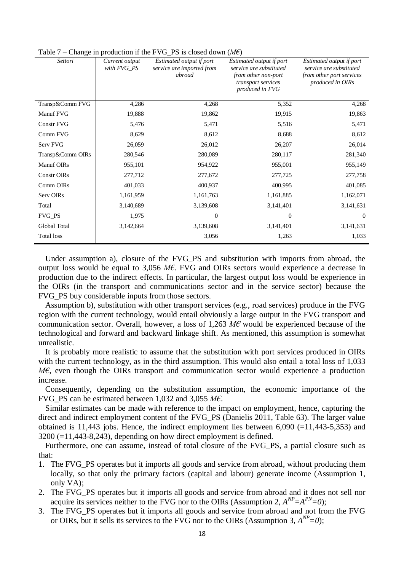| o<br>Settori       | Current output<br>with FVG_PS | Estimated output if port<br>service are imported from<br>abroad | Estimated output if port<br>service are substituted<br>from other non-port<br>transport services<br>produced in FVG | Estimated output if port<br>service are substituted<br>from other port services<br>produced in OIRs |
|--------------------|-------------------------------|-----------------------------------------------------------------|---------------------------------------------------------------------------------------------------------------------|-----------------------------------------------------------------------------------------------------|
| Transp&Comm FVG    | 4,286                         | 4,268                                                           | 5,352                                                                                                               | 4,268                                                                                               |
| Manuf FVG          | 19,888                        | 19,862                                                          | 19,915                                                                                                              | 19,863                                                                                              |
| <b>Constr FVG</b>  | 5,476                         | 5,471                                                           | 5,516                                                                                                               | 5,471                                                                                               |
| Comm FVG           | 8,629                         | 8,612                                                           | 8,688                                                                                                               | 8,612                                                                                               |
| Serv FVG           | 26,059                        | 26,012                                                          | 26,207                                                                                                              | 26,014                                                                                              |
| Transp&Comm OIRs   | 280,546                       | 280,089                                                         | 280,117                                                                                                             | 281,340                                                                                             |
| Manuf OIRs         | 955,101                       | 954,922                                                         | 955,001                                                                                                             | 955,149                                                                                             |
| <b>Constr OIRs</b> | 277,712                       | 277,672                                                         | 277,725                                                                                                             | 277,758                                                                                             |
| Comm OIRs          | 401,033                       | 400,937                                                         | 400,995                                                                                                             | 401,085                                                                                             |
| Serv OIRs          | 1,161,959                     | 1,161,763                                                       | 1,161,885                                                                                                           | 1,162,071                                                                                           |
| Total              | 3,140,689                     | 3,139,608                                                       | 3,141,401                                                                                                           | 3,141,631                                                                                           |
| FVG_PS             | 1,975                         | $\mathbf{0}$                                                    | $\overline{0}$                                                                                                      | $\theta$                                                                                            |
| Global Total       | 3,142,664                     | 3,139,608                                                       | 3,141,401                                                                                                           | 3,141,631                                                                                           |
| <b>Total loss</b>  |                               | 3,056                                                           | 1,263                                                                                                               | 1,033                                                                                               |

Table 7 – Change in production if the FVG\_PS is closed down (*M€*)

Under assumption a), closure of the FVG\_PS and substitution with imports from abroad, the output loss would be equal to 3,056 *M€*. FVG and OIRs sectors would experience a decrease in production due to the indirect effects. In particular, the largest output loss would be experience in the OIRs (in the transport and communications sector and in the service sector) because the FVG\_PS buy considerable inputs from those sectors.

Assumption b), substitution with other transport services (e.g., road services) produce in the FVG region with the current technology, would entail obviously a large output in the FVG transport and communication sector. Overall, however, a loss of 1,263 *M€* would be experienced because of the technological and forward and backward linkage shift. As mentioned, this assumption is somewhat unrealistic.

It is probably more realistic to assume that the substitution with port services produced in OIRs with the current technology, as in the third assumption. This would also entail a total loss of 1,033 *M€*, even though the OIRs transport and communication sector would experience a production increase.

Consequently, depending on the substitution assumption, the economic importance of the FVG\_PS can be estimated between 1,032 and 3,055 *M€*.

Similar estimates can be made with reference to the impact on employment, hence, capturing the direct and indirect employment content of the FVG\_PS (Danielis 2011, Table 63). The larger value obtained is 11,443 jobs. Hence, the indirect employment lies between  $6,090$  (=11,443-5,353) and  $3200$  ( $=11,443-8,243$ ), depending on how direct employment is defined.

Furthermore, one can assume, instead of total closure of the FVG\_PS, a partial closure such as that:

- 1. The FVG\_PS operates but it imports all goods and service from abroad, without producing them locally, so that only the primary factors (capital and labour) generate income (Assumption 1, only VA);
- 2. The FVG\_PS operates but it imports all goods and service from abroad and it does not sell nor acquire its services neither to the FVG nor to the OIRs (Assumption 2,  $A^{NP} = A^{PN} = 0$ );
- 3. The FVG\_PS operates but it imports all goods and service from abroad and not from the FVG or OIRs, but it sells its services to the FVG nor to the OIRs (Assumption 3,  $A^{NP} = 0$ );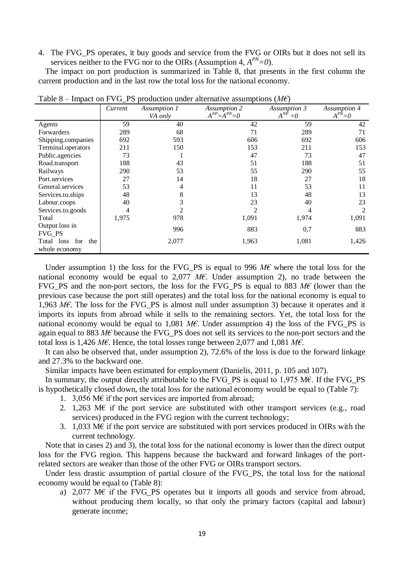4. The FVG\_PS operates, it buy goods and service from the FVG or OIRs but it does not sell its services neither to the FVG nor to the OIRs (Assumption 4,  $A^{PN} = 0$ ).

The impact on port production is summarized in Table 8, that presents in the first column the current production and in the last row the total loss for the national economy.

|                                              | Current | Assumption 1<br>VA only | <b>Assumption 2</b><br>$A^{NP} = A^{PN} = 0$ | Assumption 3<br>$A^{NP}$<br>$=0$ | Assumption 4<br>$A^{P\tilde{N}}=0$ |
|----------------------------------------------|---------|-------------------------|----------------------------------------------|----------------------------------|------------------------------------|
| Agents                                       | 59      | 40                      | 42                                           | 59                               | 42                                 |
| Forwarders                                   | 289     | 68                      | 71                                           | 289                              | 71                                 |
| Shipping.companies                           | 692     | 593                     | 606                                          | 692                              | 606                                |
| Terminal.operators                           | 211     | 150                     | 153                                          | 211                              | 153                                |
| Public.agencies                              | 73      |                         | 47                                           | 73                               | 47                                 |
| Road.transport                               | 188     | 43                      | 51                                           | 188                              | 51                                 |
| Railways                                     | 290     | 53                      | 55                                           | 290                              | 55                                 |
| Port.services                                | 27      | 14                      | 18                                           | 27                               | 18                                 |
| General.services                             | 53      | 4                       | 11                                           | 53                               | 11                                 |
| Services.to.ships                            | 48      | 8                       | 13                                           | 48                               | 13                                 |
| Labour.coops                                 | 40      | 3                       | 23                                           | 40                               | 23                                 |
| Services.to.goods                            | 4       | $\mathfrak{D}$          |                                              |                                  | 2                                  |
| Total                                        | 1,975   | 978                     | 1,091                                        | 1,974                            | 1,091                              |
| Output loss in<br><b>FVG_PS</b>              |         | 996                     | 883                                          | 0,7                              | 883                                |
| for<br>the<br>Total<br>loss<br>whole economy |         | 2,077                   | 1,963                                        | 1,081                            | 1,426                              |

Table 8 – Impact on FVG\_PS production under alternative assumptions (*M€*)

Under assumption 1) the loss for the FVG\_PS is equal to 996 *M€* where the total loss for the national economy would be equal to 2,077  $M\epsilon$ . Under assumption 2), no trade between the FVG\_PS and the non-port sectors, the loss for the FVG\_PS is equal to 883 *M€* (lower than the previous case because the port still operates) and the total loss for the national economy is equal to 1,963 *M€*. The loss for the FVG\_PS is almost null under assumption 3) because it operates and it imports its inputs from abroad while it sells to the remaining sectors. Yet, the total loss for the national economy would be equal to 1,081  $M\epsilon$ . Under assumption 4) the loss of the FVG\_PS is again equal to 883 *M€* because the FVG\_PS does not sell its services to the non-port sectors and the total loss is 1,426 *M€*. Hence, the total losses range between 2,077 and 1,081 *M€*.

It can also be observed that, under assumption 2), 72.6% of the loss is due to the forward linkage and 27.3% to the backward one.

Similar impacts have been estimated for employment (Danielis, 2011, p. 105 and 107).

In summary, the output directly attributable to the FVG\_PS is equal to  $1,975$  M $\epsilon$ . If the FVG\_PS is hypothetically closed down, the total loss for the national economy would be equal to (Table 7):

- 1. 3,056 M $\epsilon$  if the port services are imported from abroad;
- 2. 1,263 M $\epsilon$  if the port service are substituted with other transport services (e.g., road services) produced in the FVG region with the current technology;
- 3. 1,033 M€ if the port service are substituted with port services produced in OIRs with the current technology.

Note that in cases 2) and 3), the total loss for the national economy is lower than the direct output loss for the FVG region. This happens because the backward and forward linkages of the portrelated sectors are weaker than those of the other FVG or OIRs transport sectors.

Under less drastic assumption of partial closure of the FVG PS, the total loss for the national economy would be equal to (Table 8):

a) 2,077 M $\epsilon$  if the FVG\_PS operates but it imports all goods and service from abroad, without producing them locally, so that only the primary factors (capital and labour) generate income;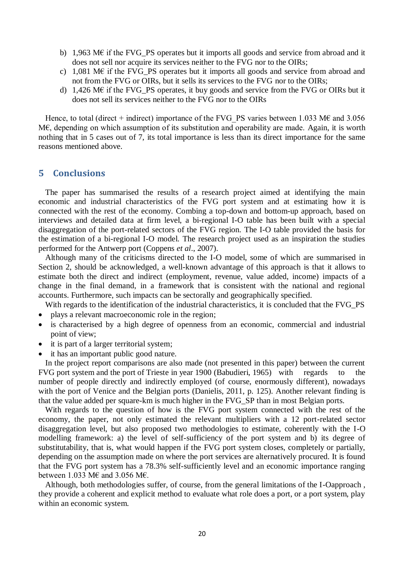- b) 1,963 M€ if the FVG\_PS operates but it imports all goods and service from abroad and it does not sell nor acquire its services neither to the FVG nor to the OIRs;
- c) 1,081 M $\epsilon$  if the FVG PS operates but it imports all goods and service from abroad and not from the FVG or OIRs, but it sells its services to the FVG nor to the OIRs;
- d) 1,426 M€ if the FVG\_PS operates, it buy goods and service from the FVG or OIRs but it does not sell its services neither to the FVG nor to the OIRs

Hence, to total (direct + indirect) importance of the FVG\_PS varies between 1.033 M€ and 3.056 M€, depending on which assumption of its substitution and operability are made. Again, it is worth nothing that in 5 cases out of 7, its total importance is less than its direct importance for the same reasons mentioned above.

### **5 Conclusions**

The paper has summarised the results of a research project aimed at identifying the main economic and industrial characteristics of the FVG port system and at estimating how it is connected with the rest of the economy. Combing a top-down and bottom-up approach, based on interviews and detailed data at firm level, a bi-regional I-O table has been built with a special disaggregation of the port-related sectors of the FVG region. The I-O table provided the basis for the estimation of a bi-regional I-O model. The research project used as an inspiration the studies performed for the Antwerp port (Coppens *et al*., 2007).

Although many of the criticisms directed to the I-O model, some of which are summarised in Section 2, should be acknowledged, a well-known advantage of this approach is that it allows to estimate both the direct and indirect (employment, revenue, value added, income) impacts of a change in the final demand, in a framework that is consistent with the national and regional accounts. Furthermore, such impacts can be sectorally and geographically specified.

With regards to the identification of the industrial characteristics, it is concluded that the FVG\_PS

- plays a relevant macroeconomic role in the region;
- is characterised by a high degree of openness from an economic, commercial and industrial point of view;
- it is part of a larger territorial system;
- it has an important public good nature.

In the project report comparisons are also made (not presented in this paper) between the current FVG port system and the port of Trieste in year 1900 (Babudieri, 1965) with regards to the number of people directly and indirectly employed (of course, enormously different), nowadays with the port of Venice and the Belgian ports (Danielis, 2011, p. 125). Another relevant finding is that the value added per square-km is much higher in the FVG\_SP than in most Belgian ports.

With regards to the question of how is the FVG port system connected with the rest of the economy, the paper, not only estimated the relevant multipliers with a 12 port-related sector disaggregation level, but also proposed two methodologies to estimate, coherently with the I-O modelling framework: a) the level of self-sufficiency of the port system and b) its degree of substitutability, that is, what would happen if the FVG port system closes, completely or partially, depending on the assumption made on where the port services are alternatively procured. It is found that the FVG port system has a 78.3% self-sufficiently level and an economic importance ranging between 1.033 M€ and 3.056 M€.

Although, both methodologies suffer, of course, from the general limitations of the I-Oapproach , they provide a coherent and explicit method to evaluate what role does a port, or a port system, play within an economic system.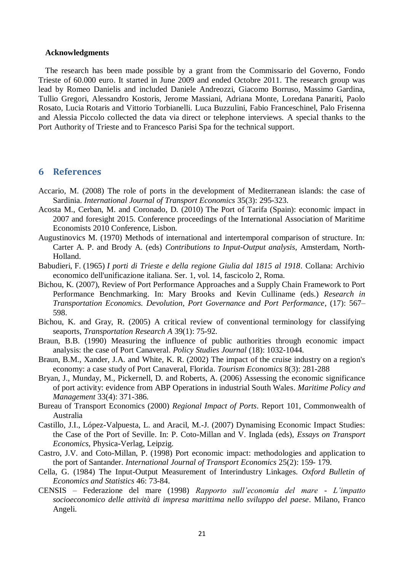#### **Acknowledgments**

The research has been made possible by a grant from the Commissario del Governo, Fondo Trieste of 60.000 euro. It started in June 2009 and ended Octobre 2011. The research group was lead by Romeo Danielis and included Daniele Andreozzi, Giacomo Borruso, Massimo Gardina, Tullio Gregori, Alessandro Kostoris, Jerome Massiani, Adriana Monte, Loredana Panariti, Paolo Rosato, Lucia Rotaris and Vittorio Torbianelli. Luca Buzzulini, Fabio Franceschinel, Palo Frisenna and Alessia Piccolo collected the data via direct or telephone interviews. A special thanks to the Port Authority of Trieste and to Francesco Parisi Spa for the technical support.

### **6 References**

- Accario, M. (2008) The role of ports in the development of Mediterranean islands: the case of Sardinia. *International Journal of Transport Economics* 35(3): 295-323.
- Acosta M., Cerban, M. and Coronado, D. (2010) The Port of Tarifa (Spain): economic impact in 2007 and foresight 2015. Conference proceedings of the International Association of Maritime Economists 2010 Conference, Lisbon.
- Augustinovics M. (1970) Methods of international and intertemporal comparison of structure. In: Carter A. P. and Brody A. (eds) *Contributions to Input-Output analysis*, Amsterdam, North-Holland.
- Babudieri, F. (1965) *I porti di Trieste e della regione Giulia dal 1815 al 1918*. Collana: Archivio economico dell'unificazione italiana. Ser. 1, vol. 14, fascicolo 2, Roma.
- Bichou, K. (2007), Review of Port Performance Approaches and a Supply Chain Framework to Port Performance Benchmarking. In: Mary Brooks and Kevin Culliname (eds.) *Research in Transportation Economics. Devolution, Port Governance and Port Performance*, (17): 567– 598.
- Bichou, K. and Gray, R. (2005) A critical review of conventional terminology for classifying seaports, *Transportation Research A* 39(1): 75-92.
- Braun, B.B. (1990) Measuring the influence of public authorities through economic impact analysis: the case of Port Canaveral. *Policy Studies Journal* (18): 1032-1044.
- Braun, B.M., Xander, J.A. and White, K. R. (2002) The impact of the cruise industry on a region's economy: a case study of Port Canaveral, Florida. *Tourism Economics* 8(3): 281-288
- Bryan, J., Munday, M., Pickernell, D. and Roberts, A. (2006) Assessing the economic significance of port activity: evidence from ABP Operations in industrial South Wales. *Maritime Policy and Management* 33(4): 371-386.
- Bureau of Transport Economics (2000) *Regional Impact of Ports*. Report 101, Commonwealth of Australia
- Castillo, J.I., López-Valpuesta, L. and Aracil, M.-J. (2007) Dynamising Economic Impact Studies: the Case of the Port of Seville. In: P. Coto-Millan and V. Inglada (eds), *Essays on Transport Economics*, Physica-Verlag, Leipzig.
- Castro, J.V. and Coto-Millan, P. (1998) Port economic impact: methodologies and application to the port of Santander. *International Journal of Transport Economics* 25(2): 159- 179.
- Cella, G. (1984) The Input-Output Measurement of Interindustry Linkages. *Oxford Bulletin of Economics and Statistics* 46: 73-84.
- CENSIS Federazione del mare (1998) *Rapporto sull'economia del mare - L'impatto socioeconomico delle attività di impresa marittima nello sviluppo del paese*. Milano, Franco Angeli.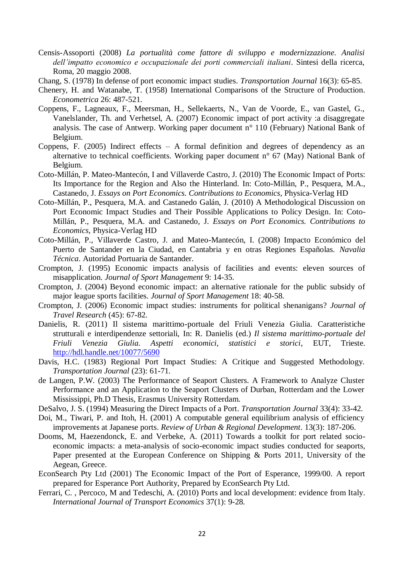- Censis-Assoporti (2008) *La portualità come fattore di sviluppo e modernizzazione. Analisi dell'impatto economico e occupazionale dei porti commerciali italiani*. Sintesi della ricerca, Roma, 20 maggio 2008.
- Chang, S. (1978) In defense of port economic impact studies. *Transportation Journal* 16(3): 65-85.
- Chenery, H. and Watanabe, T. (1958) International Comparisons of the Structure of Production. *Econometrica* 26: 487-521.
- Coppens, F., Lagneaux, F., Meersman, H., Sellekaerts, N., Van de Voorde, E., van Gastel, G., Vanelslander, Th. and Verhetsel, A. (2007) Economic impact of port activity :a disaggregate analysis. The case of Antwerp. Working paper document n° 110 (February) National Bank of Belgium.
- Coppens, F. (2005) Indirect effects A formal definition and degrees of dependency as an alternative to technical coefficients. Working paper document n° 67 (May) National Bank of Belgium.
- Coto-Millán, P. Mateo-Mantecón, I and Villaverde Castro, J. (2010) The Economic Impact of Ports: Its Importance for the Region and Also the Hinterland. In: Coto-Millán, P., Pesquera, M.A., Castanedo, J. *Essays on Port Economics. Contributions to Economics*, Physica-Verlag HD
- Coto-Millán, P., Pesquera, M.A. and Castanedo Galán, J. (2010) A Methodological Discussion on Port Economic Impact Studies and Their Possible Applications to Policy Design. In: Coto-Millán, P., Pesquera, M.A. and Castanedo, J. *Essays on Port Economics. Contributions to Economics*, Physica-Verlag HD
- Coto-Millán, P., Villaverde Castro, J. and Mateo-Mantecón, I. (2008) Impacto Económico del Puerto de Santander en la Ciudad, en Cantabria y en otras Regiones Españolas. *Navalia Técnica*. Autoridad Portuaria de Santander.
- Crompton, J. (1995) Economic impacts analysis of facilities and events: eleven sources of misapplication. *Journal of Sport Management* 9: 14-35.
- Crompton, J. (2004) Beyond economic impact: an alternative rationale for the public subsidy of major league sports facilities. *Journal of Sport Management* 18: 40-58.
- Crompton, J. (2006) Economic impact studies: instruments for political shenanigans? *Journal of Travel Research* (45): 67-82.
- Danielis, R. (2011) Il sistema marittimo-portuale del Friuli Venezia Giulia. Caratteristiche strutturali e interdipendenze settoriali, In: R. Danielis (ed.) *Il sistema marittimo-portuale del Friuli Venezia Giulia. Aspetti economici, statistici e storici*, EUT, Trieste. <http://hdl.handle.net/10077/5690>
- Davis, H.C. (1983) Regional Port Impact Studies: A Critique and Suggested Methodology. *Transportation Journal* (23): 61-71.
- de Langen, P.W. (2003) The Performance of Seaport Clusters. A Framework to Analyze Cluster Performance and an Application to the Seaport Clusters of Durban, Rotterdam and the Lower Mississippi, Ph.D Thesis, Erasmus University Rotterdam.
- DeSalvo, J. S. (1994) Measuring the Direct Impacts of a Port. *Transportation Journal* 33(4): 33-42.
- Doi, M., Tiwari, P. and Itoh, H. (2001) A computable general equilibrium analysis of efficiency improvements at Japanese ports. *Review of Urban & Regional Development*. 13(3): 187-206.
- Dooms, M, Haezendonck, E. and Verbeke, A. (2011) Towards a toolkit for port related socioeconomic impacts: a meta-analysis of socio-economic impact studies conducted for seaports, Paper presented at the European Conference on Shipping & Ports 2011, University of the Aegean, Greece.
- EconSearch Pty Ltd (2001) The Economic Impact of the Port of Esperance, 1999/00. A report prepared for Esperance Port Authority, Prepared by EconSearch Pty Ltd.
- Ferrari, C. , Percoco, M and Tedeschi, A. (2010) Ports and local development: evidence from Italy. *International Journal of Transport Economics* 37(1): 9-28.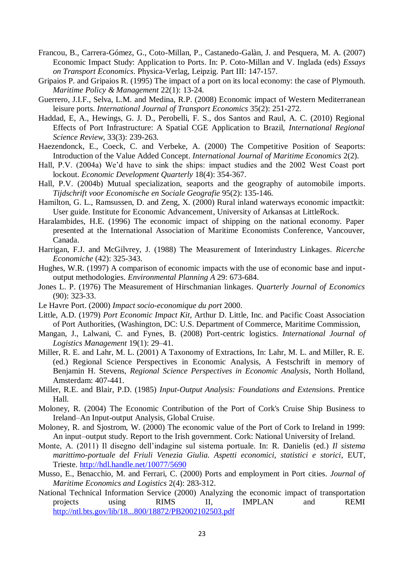- Francou, B., Carrera-Gómez, G., Coto-Millan, P., Castanedo-Galàn, J. and Pesquera, M. A. (2007) Economic Impact Study: Application to Ports. In: P. Coto-Millan and V. Inglada (eds) *Essays on Transport Economics*. Physica-Verlag, Leipzig. Part III: 147-157.
- Gripaios P. and Gripaios R. (1995) The impact of a port on its local economy: the case of Plymouth. *Maritime Policy & Management* 22(1): 13-24.
- Guerrero, J.I.F., Selva, L.M. and Medina, R.P. (2008) Economic impact of Western Mediterranean leisure ports. *International Journal of Transport Economics* 35(2): 251-272.
- Haddad, E, A., Hewings, G. J. D., Perobelli, F. S., dos Santos and Raul, A. C. (2010) Regional Effects of Port Infrastructure: A Spatial CGE Application to Brazil, *International Regional Science Review*, 33(3): 239-263.
- Haezendonck, E., Coeck, C. and Verbeke, A. (2000) The Competitive Position of Seaports: Introduction of the Value Added Concept. *International Journal of Maritime Economics* 2(2).
- Hall, P.V. (2004a) We'd have to sink the ships: impact studies and the 2002 West Coast port lockout. *Economic Development Quarterly* 18(4): 354-367.
- Hall, P.V. (2004b) Mutual specialization, seaports and the geography of automobile imports. *Tijdschrift voor Economische en Sociale Geografie* 95(2): 135-146.
- Hamilton, G. L., Ramsussen, D. and Zeng, X. (2000) Rural inland waterways economic impactkit: User guide. Institute for Economic Advancement, University of Arkansas at LittleRock.
- Haralambides, H.E. (1996) The economic impact of shipping on the national economy. Paper presented at the International Association of Maritime Economists Conference, Vancouver, Canada.
- Harrigan, F.J. and McGilvrey, J. (1988) The Measurement of Interindustry Linkages. *Ricerche Economiche* (42): 325-343.
- Hughes, W.R. (1997) A comparison of economic impacts with the use of economic base and inputoutput methodologies. *Environmental Planning A* 29: 673-684.
- Jones L. P. (1976) The Measurement of Hirschmanian linkages. *Quarterly Journal of Economics* (90): 323-33.
- Le Havre Port. (2000) *Impact socio-economique du port* 2000.
- Little, A.D. (1979) *Port Economic Impact Kit*, Arthur D. Little, Inc. and Pacific Coast Association of Port Authorities, (Washington, DC: U.S. Department of Commerce, Maritime Commission,
- Mangan, J., Lalwani, C. and Fynes, B. (2008) Port-centric logistics. *International Journal of Logistics Management* 19(1): 29–41.
- Miller, R. E. and Lahr, M. L. (2001) A Taxonomy of Extractions, In: Lahr, M. L. and Miller, R. E. (ed.) Regional Science Perspectives in Economic Analysis, A Festschrift in memory of Benjamin H. Stevens, *Regional Science Perspectives in Economic Analysis*, North Holland, Amsterdam: 407-441.
- Miller, R.E. and Blair, P.D. (1985) *Input-Output Analysis: Foundations and Extensions*. Prentice Hall.
- Moloney, R. (2004) The Economic Contribution of the Port of Cork's Cruise Ship Business to Ireland–An Input-output Analysis, Global Cruise.
- Moloney, R. and Sjostrom, W. (2000) The economic value of the Port of Cork to Ireland in 1999: An input–output study. Report to the Irish government. Cork: National University of Ireland.
- Monte, A. (2011) Il disegno dell'indagine sul sistema portuale. In: R. Danielis (ed.) *Il sistema marittimo-portuale del Friuli Venezia Giulia. Aspetti economici, statistici e storici*, EUT, Trieste.<http://hdl.handle.net/10077/5690>
- Musso, E., Benacchio, M. and Ferrari, C. (2000) Ports and employment in Port cities. *Journal of Maritime Economics and Logistics* 2(4): 283-312.
- National Technical Information Service (2000) Analyzing the economic impact of transportation projects using RIMS II, IMPLAN and REMI <http://ntl.bts.gov/lib/18...800/18872/PB2002102503.pdf>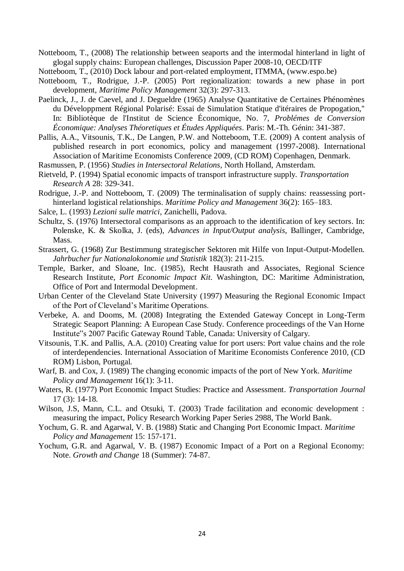Notteboom, T., (2008) The relationship between seaports and the intermodal hinterland in light of glogal supply chains: European challenges, Discussion Paper 2008-10, OECD/ITF

Notteboom, T., (2010) Dock labour and port-related employment, ITMMA, (www.espo.be)

- Notteboom, T., Rodrigue, J.-P. (2005) Port regionalization: towards a new phase in port development, *Maritime Policy Management* 32(3): 297-313.
- Paelinck, J., J. de Caevel, and J. Degueldre (1965) Analyse Quantitative de Certaines Phénomènes du Développment Régional Polarisé: Essai de Simulation Statique d'itéraires de Propogation,'' In: Bibliotèque de l'Institut de Science Économique, No. 7, *Problémes de Conversion Économique: Analyses Théoretiques et Études Appliquées*. Paris: M.-Th. Génin: 341-387.
- Pallis, A.A., Vitsounis, T.K., De Langen, P.W. and Notteboom, T.E. (2009) A content analysis of published research in port economics, policy and management (1997-2008). International Association of Maritime Economists Conference 2009, (CD ROM) Copenhagen, Denmark.
- Rasmussen, P. (1956) *Studies in Intersectoral Relations*, North Holland, Amsterdam.
- Rietveld, P. (1994) Spatial economic impacts of transport infrastructure supply. *Transportation Research A* 28: 329-341.
- Rodrigue, J.-P. and Notteboom, T. (2009) The terminalisation of supply chains: reassessing porthinterland logistical relationships. *Maritime Policy and Management* 36(2): 165–183.
- Salce, L. (1993) *Lezioni sulle matrici*, Zanichelli, Padova.
- Schultz, S. (1976) Intersectoral comparisons as an approach to the identification of key sectors. In: Polenske, K. & Skolka, J. (eds), *Advances in Input/Output analysis*, Ballinger, Cambridge, Mass.
- Strassert, G. (1968) Zur Bestimmung strategischer Sektoren mit Hilfe von Input-Output-Modellen. *Jahrbucher fur Nationalokonomie und Statistik* 182(3): 211-215.
- Temple, Barker, and Sloane, Inc. (1985), Recht Hausrath and Associates, Regional Science Research Institute, *Port Economic Impact Kit.* Washington, DC: Maritime Administration, Office of Port and Intermodal Development.
- Urban Center of the Cleveland State University (1997) Measuring the Regional Economic Impact of the Port of Cleveland's Maritime Operations.
- Verbeke, A. and Dooms, M. (2008) Integrating the Extended Gateway Concept in Long-Term Strategic Seaport Planning: A European Case Study. Conference proceedings of the Van Horne Institute"s 2007 Pacific Gateway Round Table, Canada: University of Calgary.
- Vitsounis, T.K. and Pallis, A.A. (2010) Creating value for port users: Port value chains and the role of interdependencies. International Association of Maritime Economists Conference 2010, (CD ROM) Lisbon, Portugal.
- Warf, B. and Cox, J. (1989) The changing economic impacts of the port of New York. *Maritime Policy and Management* 16(1): 3-11.
- Waters, R. (1977) Port Economic Impact Studies: Practice and Assessment. *Transportation Journal* 17 (3): 14-18.
- Wilson, J.S, Mann, C.L. and Otsuki, T. (2003) Trade facilitation and economic development : measuring the impact, Policy Research Working Paper Series 2988, The World Bank.
- Yochum, G. R. and Agarwal, V. B. (1988) Static and Changing Port Economic Impact. *Maritime Policy and Management* 15: 157-171.
- Yochum, G.R. and Agarwal, V. B. (1987) Economic Impact of a Port on a Regional Economy: Note. *Growth and Change* 18 (Summer): 74-87.